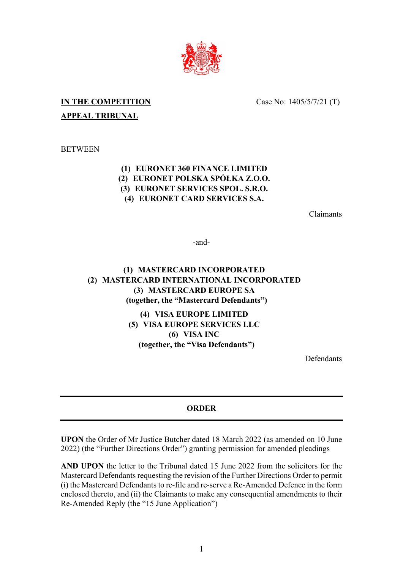

# **IN THE COMPETITION APPEAL TRIBUNAL**

Case No: 1405/5/7/21 (T)

**BETWEEN** 

### **(1) EURONET 360 FINANCE LIMITED (2) EURONET POLSKA SPÓŁKA Z.O.O. (3) EURONET SERVICES SPOL. S.R.O. (4) EURONET CARD SERVICES S.A.**

Claimants

-and-

## **(1) MASTERCARD INCORPORATED (2) MASTERCARD INTERNATIONAL INCORPORATED (3) MASTERCARD EUROPE SA (together, the "Mastercard Defendants")**

**(4) VISA EUROPE LIMITED (5) VISA EUROPE SERVICES LLC (6) VISA INC (together, the "Visa Defendants")**

Defendants

### **ORDER**

**UPON** the Order of Mr Justice Butcher dated 18 March 2022 (as amended on 10 June 2022) (the "Further Directions Order") granting permission for amended pleadings

**AND UPON** the letter to the Tribunal dated 15 June 2022 from the solicitors for the Mastercard Defendants requesting the revision of the Further Directions Order to permit  $(i)$  the Mastercard Defendants to re-file and re-serve a Re-Amended Defence in the form enclosed thereto, and (ii) the Claimants to make any consequential amendments to their Re-Amended Reply (the "15 June Application")